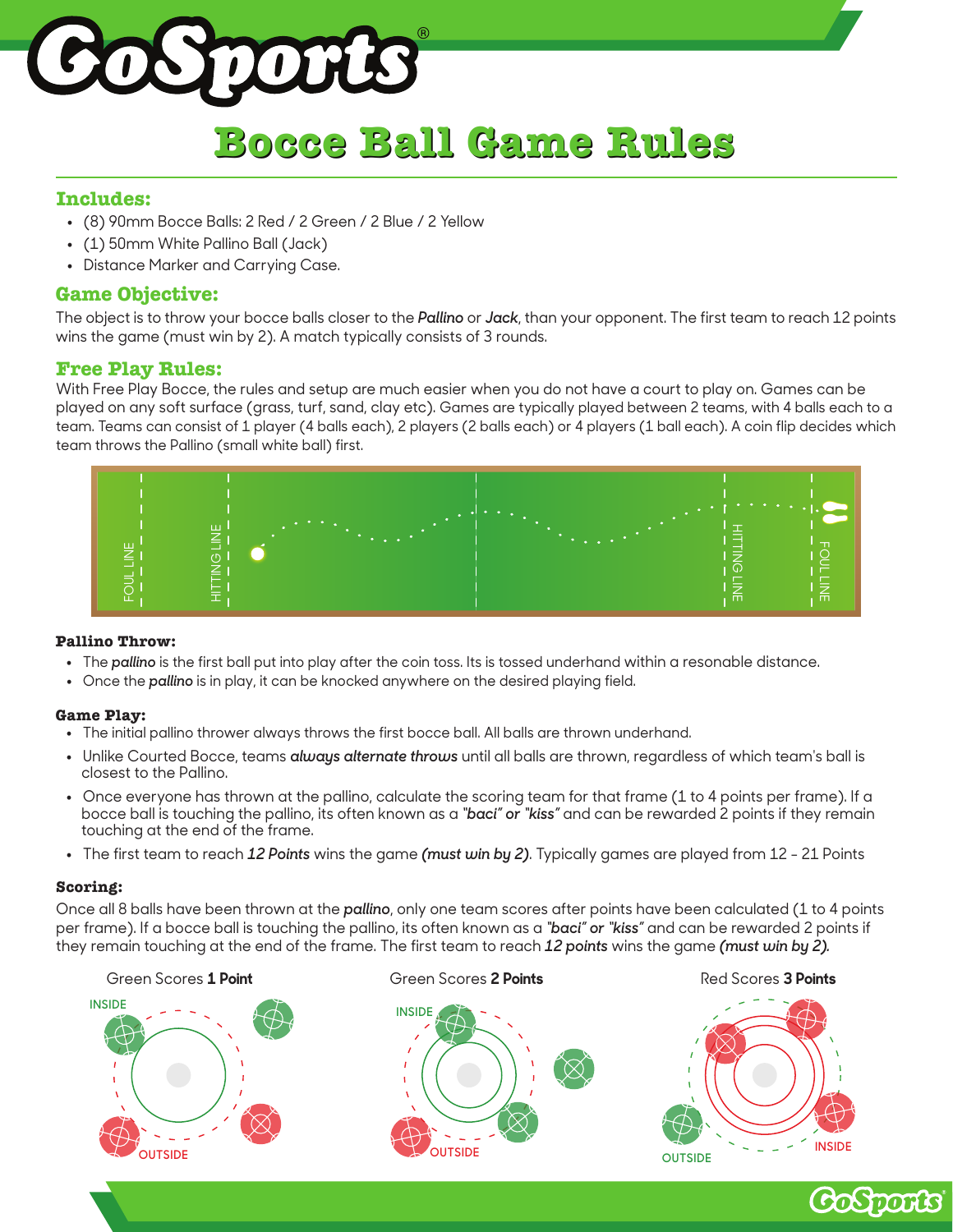

# **Bocce Ball Game Rules Bocce Ball Game Rules**

# **Includes:**

- **•** (8) 90mm Bocce Balls: 2 Red / 2 Green / 2 Blue / 2 Yellow
- **•** (1) 50mm White Pallino Ball (Jack)
- **•** Distance Marker and Carrying Case.

## **Game Objective:**

The object is to throw your bocce balls closer to the *Pallino* or *Jack*, than your opponent. The first team to reach 12 points wins the game (must win by 2). A match typically consists of 3 rounds.

# **Free Play Rules:**

With Free Play Bocce, the rules and setup are much easier when you do not have a court to play on. Games can be played on any soft surface (grass, turf, sand, clay etc). Games are typically played between 2 teams, with 4 balls each to a team. Teams can consist of 1 player (4 balls each), 2 players (2 balls each) or 4 players (1 ball each). A coin flip decides which team throws the Pallino (small white ball) first.



## **Pallino Throw:**

- **•** The *pallino* is the first ball put into play after the coin toss. Its is tossed underhand within a resonable distance.
- **•** Once the *pallino* is in play, it can be knocked anywhere on the desired playing field.

## **Game Play:**

- **•** The initial pallino thrower always throws the first bocce ball. All balls are thrown underhand.
- **•** Unlike Courted Bocce, teams *always alternate throws* until all balls are thrown, regardless of which team's ball is closest to the Pallino.
- **•** Once everyone has thrown at the pallino, calculate the scoring team for that frame (1 to 4 points per frame). If a bocce ball is touching the pallino, its often known as a *"baci" or "kiss"* and can be rewarded 2 points if they remain touching at the end of the frame.
- **•** The first team to reach *12 Points* wins the game *(must win by 2)*. Typically games are played from 12 21 Points

## **Scoring:**

Once all 8 balls have been thrown at the *pallino*, only one team scores after points have been calculated (1 to 4 points per frame). If a bocce ball is touching the pallino, its often known as a *"baci" or "kiss"* and can be rewarded 2 points if they remain touching at the end of the frame. The first team to reach *12 points* wins the game *(must win by 2).*